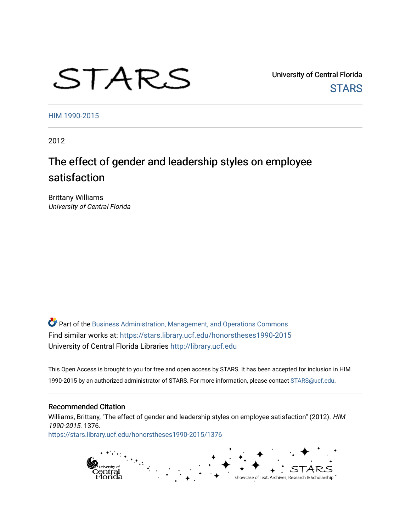# STARS

University of Central Florida **STARS** 

[HIM 1990-2015](https://stars.library.ucf.edu/honorstheses1990-2015) 

2012

# The effect of gender and leadership styles on employee satisfaction

Brittany Williams University of Central Florida

Part of the [Business Administration, Management, and Operations Commons](http://network.bepress.com/hgg/discipline/623?utm_source=stars.library.ucf.edu%2Fhonorstheses1990-2015%2F1376&utm_medium=PDF&utm_campaign=PDFCoverPages) Find similar works at: <https://stars.library.ucf.edu/honorstheses1990-2015> University of Central Florida Libraries [http://library.ucf.edu](http://library.ucf.edu/) 

This Open Access is brought to you for free and open access by STARS. It has been accepted for inclusion in HIM 1990-2015 by an authorized administrator of STARS. For more information, please contact [STARS@ucf.edu](mailto:STARS@ucf.edu).

### Recommended Citation

Williams, Brittany, "The effect of gender and leadership styles on employee satisfaction" (2012). HIM 1990-2015. 1376. [https://stars.library.ucf.edu/honorstheses1990-2015/1376](https://stars.library.ucf.edu/honorstheses1990-2015/1376?utm_source=stars.library.ucf.edu%2Fhonorstheses1990-2015%2F1376&utm_medium=PDF&utm_campaign=PDFCoverPages) 

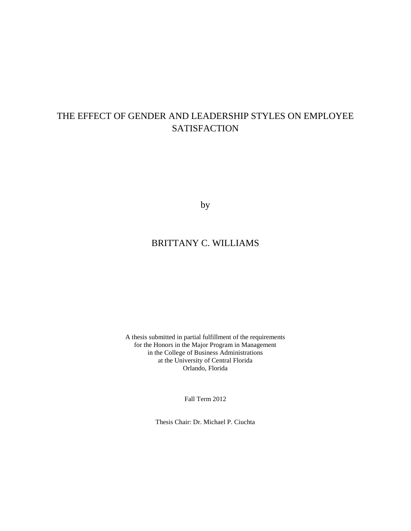# THE EFFECT OF GENDER AND LEADERSHIP STYLES ON EMPLOYEE **SATISFACTION**

by

# BRITTANY C. WILLIAMS

A thesis submitted in partial fulfillment of the requirements for the Honors in the Major Program in Management in the College of Business Administrations at the University of Central Florida Orlando, Florida

Fall Term 2012

Thesis Chair: Dr. Michael P. Ciuchta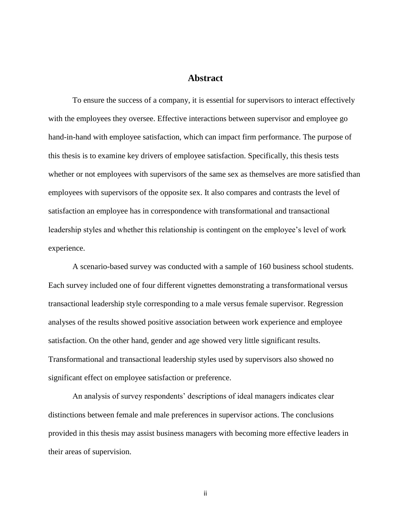## **Abstract**

To ensure the success of a company, it is essential for supervisors to interact effectively with the employees they oversee. Effective interactions between supervisor and employee go hand-in-hand with employee satisfaction, which can impact firm performance. The purpose of this thesis is to examine key drivers of employee satisfaction. Specifically, this thesis tests whether or not employees with supervisors of the same sex as themselves are more satisfied than employees with supervisors of the opposite sex. It also compares and contrasts the level of satisfaction an employee has in correspondence with transformational and transactional leadership styles and whether this relationship is contingent on the employee's level of work experience.

A scenario-based survey was conducted with a sample of 160 business school students. Each survey included one of four different vignettes demonstrating a transformational versus transactional leadership style corresponding to a male versus female supervisor. Regression analyses of the results showed positive association between work experience and employee satisfaction. On the other hand, gender and age showed very little significant results. Transformational and transactional leadership styles used by supervisors also showed no significant effect on employee satisfaction or preference.

An analysis of survey respondents' descriptions of ideal managers indicates clear distinctions between female and male preferences in supervisor actions. The conclusions provided in this thesis may assist business managers with becoming more effective leaders in their areas of supervision.

ii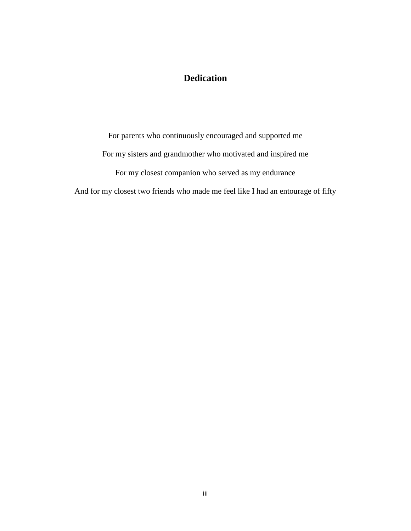# **Dedication**

For parents who continuously encouraged and supported me For my sisters and grandmother who motivated and inspired me For my closest companion who served as my endurance And for my closest two friends who made me feel like I had an entourage of fifty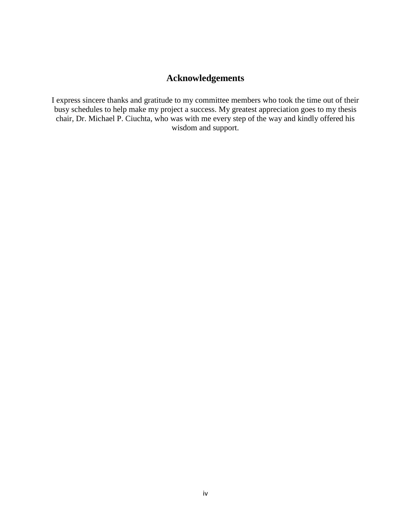# **Acknowledgements**

I express sincere thanks and gratitude to my committee members who took the time out of their busy schedules to help make my project a success. My greatest appreciation goes to my thesis chair, Dr. Michael P. Ciuchta, who was with me every step of the way and kindly offered his wisdom and support.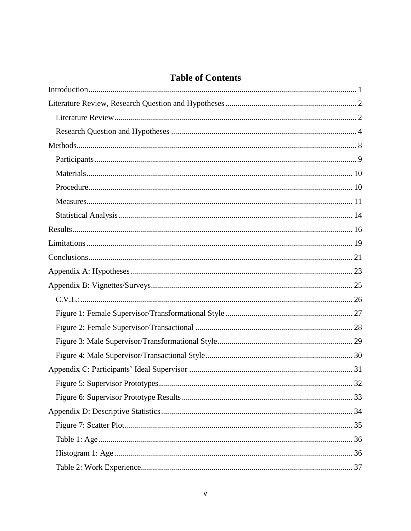# **Table of Contents**

| C.V.L.: |
|---------|
|         |
|         |
|         |
|         |
|         |
| 32      |
|         |
|         |
|         |
|         |
|         |
|         |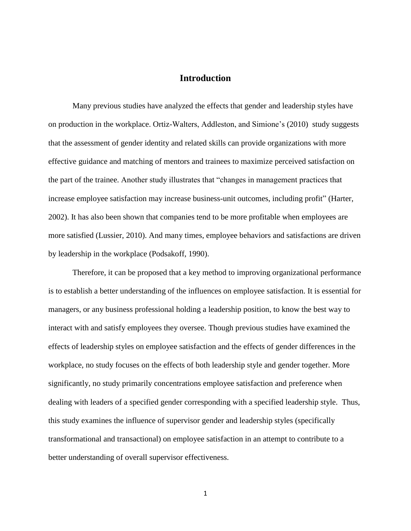## **Introduction**

<span id="page-7-0"></span>Many previous studies have analyzed the effects that gender and leadership styles have on production in the workplace. Ortiz-Walters, Addleston, and Simione's (2010) study suggests that the assessment of gender identity and related skills can provide organizations with more effective guidance and matching of mentors and trainees to maximize perceived satisfaction on the part of the trainee. Another study illustrates that "changes in management practices that increase employee satisfaction may increase business-unit outcomes, including profit" (Harter, 2002). It has also been shown that companies tend to be more profitable when employees are more satisfied (Lussier, 2010). And many times, employee behaviors and satisfactions are driven by leadership in the workplace (Podsakoff, 1990).

Therefore, it can be proposed that a key method to improving organizational performance is to establish a better understanding of the influences on employee satisfaction. It is essential for managers, or any business professional holding a leadership position, to know the best way to interact with and satisfy employees they oversee. Though previous studies have examined the effects of leadership styles on employee satisfaction and the effects of gender differences in the workplace, no study focuses on the effects of both leadership style and gender together. More significantly, no study primarily concentrations employee satisfaction and preference when dealing with leaders of a specified gender corresponding with a specified leadership style. Thus, this study examines the influence of supervisor gender and leadership styles (specifically transformational and transactional) on employee satisfaction in an attempt to contribute to a better understanding of overall supervisor effectiveness.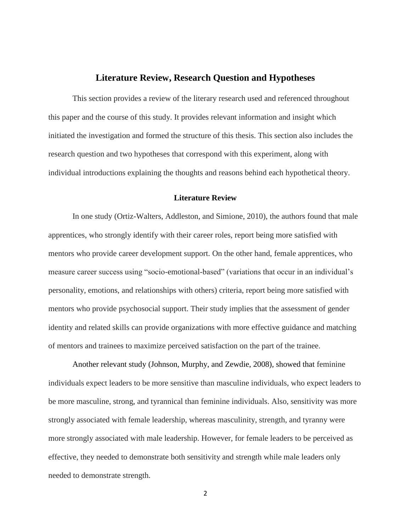#### **Literature Review, Research Question and Hypotheses**

<span id="page-8-0"></span>This section provides a review of the literary research used and referenced throughout this paper and the course of this study. It provides relevant information and insight which initiated the investigation and formed the structure of this thesis. This section also includes the research question and two hypotheses that correspond with this experiment, along with individual introductions explaining the thoughts and reasons behind each hypothetical theory.

#### **Literature Review**

<span id="page-8-1"></span>In one study (Ortiz-Walters, Addleston, and Simione, 2010), the authors found that male apprentices, who strongly identify with their career roles, report being more satisfied with mentors who provide career development support. On the other hand, female apprentices, who measure career success using "socio-emotional-based" (variations that occur in an individual's personality, emotions, and relationships with others) criteria, report being more satisfied with mentors who provide psychosocial support. Their study implies that the assessment of gender identity and related skills can provide organizations with more effective guidance and matching of mentors and trainees to maximize perceived satisfaction on the part of the trainee.

Another relevant study (Johnson, Murphy, and Zewdie, 2008), showed that feminine individuals expect leaders to be more sensitive than masculine individuals, who expect leaders to be more masculine, strong, and tyrannical than feminine individuals. Also, sensitivity was more strongly associated with female leadership, whereas masculinity, strength, and tyranny were more strongly associated with male leadership. However, for female leaders to be perceived as effective, they needed to demonstrate both sensitivity and strength while male leaders only needed to demonstrate strength.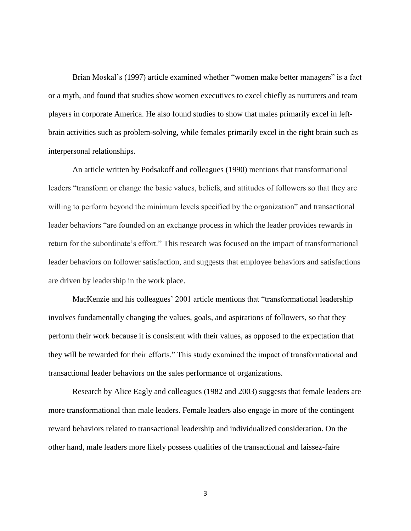Brian Moskal's (1997) article examined whether "women make better managers" is a fact or a myth, and found that studies show women executives to excel chiefly as nurturers and team players in corporate America. He also found studies to show that males primarily excel in leftbrain activities such as problem-solving, while females primarily excel in the right brain such as interpersonal relationships.

An article written by Podsakoff and colleagues (1990) mentions that transformational leaders "transform or change the basic values, beliefs, and attitudes of followers so that they are willing to perform beyond the minimum levels specified by the organization" and transactional leader behaviors "are founded on an exchange process in which the leader provides rewards in return for the subordinate's effort." This research was focused on the impact of transformational leader behaviors on follower satisfaction, and suggests that employee behaviors and satisfactions are driven by leadership in the work place.

MacKenzie and his colleagues' 2001 article mentions that "transformational leadership involves fundamentally changing the values, goals, and aspirations of followers, so that they perform their work because it is consistent with their values, as opposed to the expectation that they will be rewarded for their efforts." This study examined the impact of transformational and transactional leader behaviors on the sales performance of organizations.

Research by Alice Eagly and colleagues (1982 and 2003) suggests that female leaders are more transformational than male leaders. Female leaders also engage in more of the contingent reward behaviors related to transactional leadership and individualized consideration. On the other hand, male leaders more likely possess qualities of the transactional and laissez-faire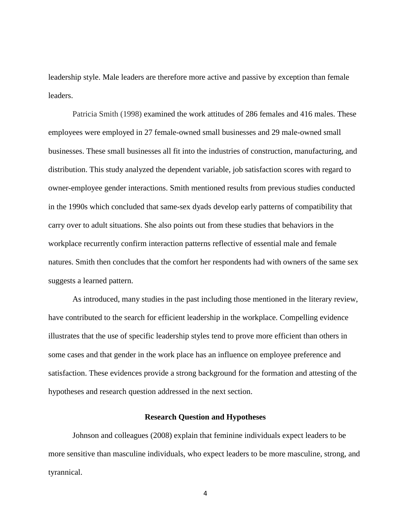leadership style. Male leaders are therefore more active and passive by exception than female leaders.

Patricia Smith (1998) examined the work attitudes of 286 females and 416 males. These employees were employed in 27 female-owned small businesses and 29 male-owned small businesses. These small businesses all fit into the industries of construction, manufacturing, and distribution. This study analyzed the dependent variable, job satisfaction scores with regard to owner-employee gender interactions. Smith mentioned results from previous studies conducted in the 1990s which concluded that same-sex dyads develop early patterns of compatibility that carry over to adult situations. She also points out from these studies that behaviors in the workplace recurrently confirm interaction patterns reflective of essential male and female natures. Smith then concludes that the comfort her respondents had with owners of the same sex suggests a learned pattern.

As introduced, many studies in the past including those mentioned in the literary review, have contributed to the search for efficient leadership in the workplace. Compelling evidence illustrates that the use of specific leadership styles tend to prove more efficient than others in some cases and that gender in the work place has an influence on employee preference and satisfaction. These evidences provide a strong background for the formation and attesting of the hypotheses and research question addressed in the next section.

#### **Research Question and Hypotheses**

<span id="page-10-0"></span>Johnson and colleagues (2008) explain that feminine individuals expect leaders to be more sensitive than masculine individuals, who expect leaders to be more masculine, strong, and tyrannical.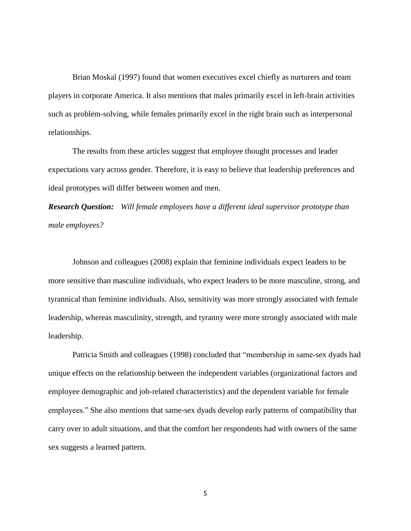Brian Moskal (1997) found that women executives excel chiefly as nurturers and team players in corporate America. It also mentions that males primarily excel in left-brain activities such as problem-solving, while females primarily excel in the right brain such as interpersonal relationships.

The results from these articles suggest that employee thought processes and leader expectations vary across gender. Therefore, it is easy to believe that leadership preferences and ideal prototypes will differ between women and men.

*Research Question: Will female employees have a different ideal supervisor prototype than male employees?*

Johnson and colleagues (2008) explain that feminine individuals expect leaders to be more sensitive than masculine individuals, who expect leaders to be more masculine, strong, and tyrannical than feminine individuals. Also, sensitivity was more strongly associated with female leadership, whereas masculinity, strength, and tyranny were more strongly associated with male leadership.

Patricia Smith and colleagues (1998) concluded that "membership in same-sex dyads had unique effects on the relationship between the independent variables (organizational factors and employee demographic and job-related characteristics) and the dependent variable for female employees." She also mentions that same-sex dyads develop early patterns of compatibility that carry over to adult situations, and that the comfort her respondents had with owners of the same sex suggests a learned pattern.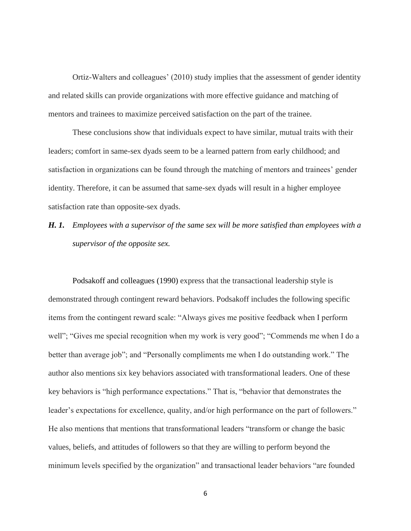Ortiz-Walters and colleagues' (2010) study implies that the assessment of gender identity and related skills can provide organizations with more effective guidance and matching of mentors and trainees to maximize perceived satisfaction on the part of the trainee.

These conclusions show that individuals expect to have similar, mutual traits with their leaders; comfort in same-sex dyads seem to be a learned pattern from early childhood; and satisfaction in organizations can be found through the matching of mentors and trainees' gender identity. Therefore, it can be assumed that same-sex dyads will result in a higher employee satisfaction rate than opposite-sex dyads.

*H. 1. Employees with a supervisor of the same sex will be more satisfied than employees with a supervisor of the opposite sex.*

Podsakoff and colleagues (1990) express that the transactional leadership style is demonstrated through contingent reward behaviors. Podsakoff includes the following specific items from the contingent reward scale: "Always gives me positive feedback when I perform well"; "Gives me special recognition when my work is very good"; "Commends me when I do a better than average job"; and "Personally compliments me when I do outstanding work." The author also mentions six key behaviors associated with transformational leaders. One of these key behaviors is "high performance expectations." That is, "behavior that demonstrates the leader's expectations for excellence, quality, and/or high performance on the part of followers." He also mentions that mentions that transformational leaders "transform or change the basic values, beliefs, and attitudes of followers so that they are willing to perform beyond the minimum levels specified by the organization" and transactional leader behaviors "are founded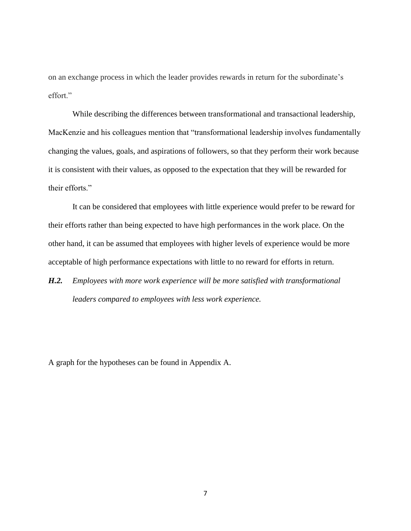on an exchange process in which the leader provides rewards in return for the subordinate's effort."

While describing the differences between transformational and transactional leadership, MacKenzie and his colleagues mention that "transformational leadership involves fundamentally changing the values, goals, and aspirations of followers, so that they perform their work because it is consistent with their values, as opposed to the expectation that they will be rewarded for their efforts."

It can be considered that employees with little experience would prefer to be reward for their efforts rather than being expected to have high performances in the work place. On the other hand, it can be assumed that employees with higher levels of experience would be more acceptable of high performance expectations with little to no reward for efforts in return.

*H.2. Employees with more work experience will be more satisfied with transformational leaders compared to employees with less work experience.*

A graph for the hypotheses can be found in Appendix A.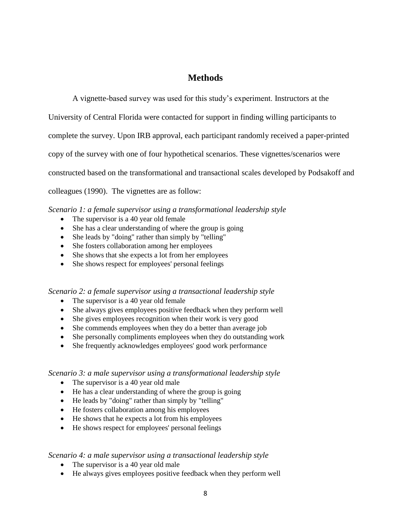# **Methods**

<span id="page-14-0"></span>A vignette-based survey was used for this study's experiment. Instructors at the University of Central Florida were contacted for support in finding willing participants to complete the survey. Upon IRB approval, each participant randomly received a paper-printed copy of the survey with one of four hypothetical scenarios. These vignettes/scenarios were constructed based on the transformational and transactional scales developed by Podsakoff and colleagues (1990). The vignettes are as follow:

*Scenario 1: a female supervisor using a transformational leadership style*

- The supervisor is a 40 year old female
- She has a clear understanding of where the group is going
- She leads by "doing" rather than simply by "telling"
- She fosters collaboration among her employees
- She shows that she expects a lot from her employees
- She shows respect for employees' personal feelings

*Scenario 2: a female supervisor using a transactional leadership style*

- The supervisor is a 40 year old female
- She always gives employees positive feedback when they perform well
- She gives employees recognition when their work is very good
- She commends employees when they do a better than average job
- She personally compliments employees when they do outstanding work
- She frequently acknowledges employees' good work performance

#### *Scenario 3: a male supervisor using a transformational leadership style*

- The supervisor is a 40 year old male
- He has a clear understanding of where the group is going
- He leads by "doing" rather than simply by "telling"
- He fosters collaboration among his employees
- He shows that he expects a lot from his employees
- He shows respect for employees' personal feelings

#### *Scenario 4: a male supervisor using a transactional leadership style*

- The supervisor is a 40 year old male
- He always gives employees positive feedback when they perform well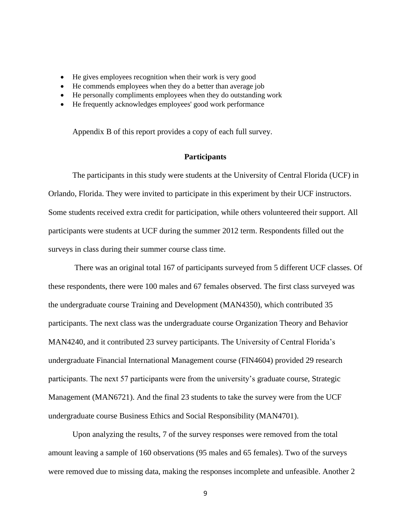- He gives employees recognition when their work is very good
- He commends employees when they do a better than average job
- He personally compliments employees when they do outstanding work
- He frequently acknowledges employees' good work performance

Appendix B of this report provides a copy of each full survey.

#### **Participants**

<span id="page-15-0"></span>The participants in this study were students at the University of Central Florida (UCF) in Orlando, Florida. They were invited to participate in this experiment by their UCF instructors. Some students received extra credit for participation, while others volunteered their support. All participants were students at UCF during the summer 2012 term. Respondents filled out the surveys in class during their summer course class time.

There was an original total 167 of participants surveyed from 5 different UCF classes. Of these respondents, there were 100 males and 67 females observed. The first class surveyed was the undergraduate course Training and Development (MAN4350), which contributed 35 participants. The next class was the undergraduate course Organization Theory and Behavior MAN4240, and it contributed 23 survey participants. The University of Central Florida's undergraduate Financial International Management course (FIN4604) provided 29 research participants. The next 57 participants were from the university's graduate course, Strategic Management (MAN6721). And the final 23 students to take the survey were from the UCF undergraduate course Business Ethics and Social Responsibility (MAN4701).

Upon analyzing the results, 7 of the survey responses were removed from the total amount leaving a sample of 160 observations (95 males and 65 females). Two of the surveys were removed due to missing data, making the responses incomplete and unfeasible. Another 2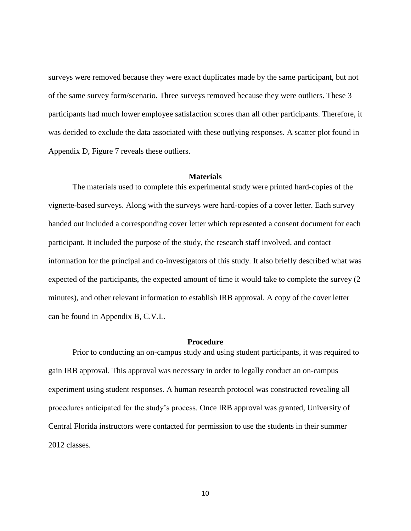surveys were removed because they were exact duplicates made by the same participant, but not of the same survey form/scenario. Three surveys removed because they were outliers. These 3 participants had much lower employee satisfaction scores than all other participants. Therefore, it was decided to exclude the data associated with these outlying responses. A scatter plot found in Appendix D, Figure 7 reveals these outliers.

#### **Materials**

<span id="page-16-0"></span>The materials used to complete this experimental study were printed hard-copies of the vignette-based surveys. Along with the surveys were hard-copies of a cover letter. Each survey handed out included a corresponding cover letter which represented a consent document for each participant. It included the purpose of the study, the research staff involved, and contact information for the principal and co-investigators of this study. It also briefly described what was expected of the participants, the expected amount of time it would take to complete the survey (2 minutes), and other relevant information to establish IRB approval. A copy of the cover letter can be found in Appendix B, C.V.L.

## **Procedure**

<span id="page-16-1"></span>Prior to conducting an on-campus study and using student participants, it was required to gain IRB approval. This approval was necessary in order to legally conduct an on-campus experiment using student responses. A human research protocol was constructed revealing all procedures anticipated for the study's process. Once IRB approval was granted, University of Central Florida instructors were contacted for permission to use the students in their summer 2012 classes.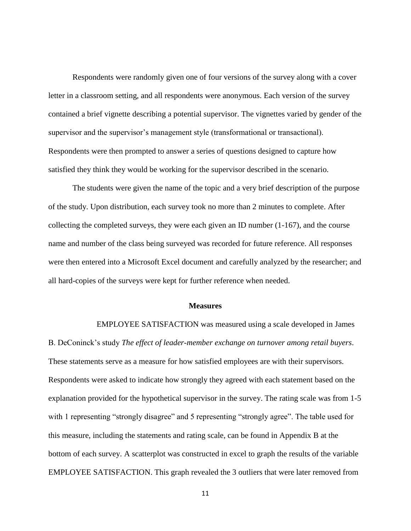Respondents were randomly given one of four versions of the survey along with a cover letter in a classroom setting, and all respondents were anonymous. Each version of the survey contained a brief vignette describing a potential supervisor. The vignettes varied by gender of the supervisor and the supervisor's management style (transformational or transactional). Respondents were then prompted to answer a series of questions designed to capture how satisfied they think they would be working for the supervisor described in the scenario.

The students were given the name of the topic and a very brief description of the purpose of the study. Upon distribution, each survey took no more than 2 minutes to complete. After collecting the completed surveys, they were each given an ID number  $(1-167)$ , and the course name and number of the class being surveyed was recorded for future reference. All responses were then entered into a Microsoft Excel document and carefully analyzed by the researcher; and all hard-copies of the surveys were kept for further reference when needed.

#### **Measures**

<span id="page-17-0"></span>EMPLOYEE SATISFACTION was measured using a scale developed in James B. DeConinck's study *The effect of leader-member exchange on turnover among retail buyers*. These statements serve as a measure for how satisfied employees are with their supervisors. Respondents were asked to indicate how strongly they agreed with each statement based on the explanation provided for the hypothetical supervisor in the survey. The rating scale was from 1-5 with 1 representing "strongly disagree" and 5 representing "strongly agree". The table used for this measure, including the statements and rating scale, can be found in Appendix B at the bottom of each survey. A scatterplot was constructed in excel to graph the results of the variable EMPLOYEE SATISFACTION. This graph revealed the 3 outliers that were later removed from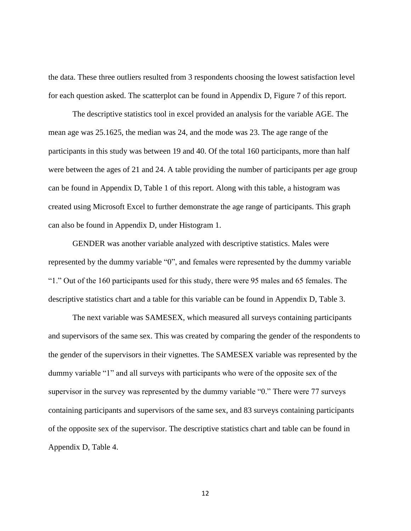the data. These three outliers resulted from 3 respondents choosing the lowest satisfaction level for each question asked. The scatterplot can be found in Appendix D, Figure 7 of this report.

The descriptive statistics tool in excel provided an analysis for the variable AGE. The mean age was 25.1625, the median was 24, and the mode was 23. The age range of the participants in this study was between 19 and 40. Of the total 160 participants, more than half were between the ages of 21 and 24. A table providing the number of participants per age group can be found in Appendix D, Table 1 of this report. Along with this table, a histogram was created using Microsoft Excel to further demonstrate the age range of participants. This graph can also be found in Appendix D, under Histogram 1.

GENDER was another variable analyzed with descriptive statistics. Males were represented by the dummy variable "0", and females were represented by the dummy variable "1." Out of the 160 participants used for this study, there were 95 males and 65 females. The descriptive statistics chart and a table for this variable can be found in Appendix D, Table 3.

The next variable was SAMESEX, which measured all surveys containing participants and supervisors of the same sex. This was created by comparing the gender of the respondents to the gender of the supervisors in their vignettes. The SAMESEX variable was represented by the dummy variable "1" and all surveys with participants who were of the opposite sex of the supervisor in the survey was represented by the dummy variable "0." There were 77 surveys containing participants and supervisors of the same sex, and 83 surveys containing participants of the opposite sex of the supervisor. The descriptive statistics chart and table can be found in Appendix D, Table 4.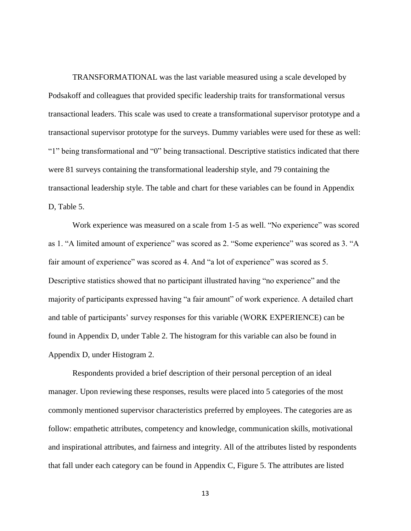TRANSFORMATIONAL was the last variable measured using a scale developed by Podsakoff and colleagues that provided specific leadership traits for transformational versus transactional leaders. This scale was used to create a transformational supervisor prototype and a transactional supervisor prototype for the surveys. Dummy variables were used for these as well: "1" being transformational and "0" being transactional. Descriptive statistics indicated that there were 81 surveys containing the transformational leadership style, and 79 containing the transactional leadership style. The table and chart for these variables can be found in Appendix D, Table 5.

Work experience was measured on a scale from 1-5 as well. "No experience" was scored as 1. "A limited amount of experience" was scored as 2. "Some experience" was scored as 3. "A fair amount of experience" was scored as 4. And "a lot of experience" was scored as 5. Descriptive statistics showed that no participant illustrated having "no experience" and the majority of participants expressed having "a fair amount" of work experience. A detailed chart and table of participants' survey responses for this variable (WORK EXPERIENCE) can be found in Appendix D, under Table 2. The histogram for this variable can also be found in Appendix D, under Histogram 2.

Respondents provided a brief description of their personal perception of an ideal manager. Upon reviewing these responses, results were placed into 5 categories of the most commonly mentioned supervisor characteristics preferred by employees. The categories are as follow: empathetic attributes, competency and knowledge, communication skills, motivational and inspirational attributes, and fairness and integrity. All of the attributes listed by respondents that fall under each category can be found in Appendix C, Figure 5. The attributes are listed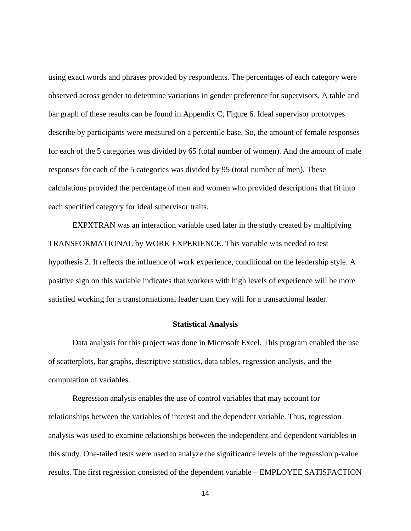using exact words and phrases provided by respondents. The percentages of each category were observed across gender to determine variations in gender preference for supervisors. A table and bar graph of these results can be found in Appendix C, Figure 6. Ideal supervisor prototypes describe by participants were measured on a percentile base. So, the amount of female responses for each of the 5 categories was divided by 65 (total number of women). And the amount of male responses for each of the 5 categories was divided by 95 (total number of men). These calculations provided the percentage of men and women who provided descriptions that fit into each specified category for ideal supervisor traits.

EXPXTRAN was an interaction variable used later in the study created by multiplying TRANSFORMATIONAL by WORK EXPERIENCE. This variable was needed to test hypothesis 2. It reflects the influence of work experience, conditional on the leadership style. A positive sign on this variable indicates that workers with high levels of experience will be more satisfied working for a transformational leader than they will for a transactional leader.

#### **Statistical Analysis**

<span id="page-20-0"></span>Data analysis for this project was done in Microsoft Excel. This program enabled the use of scatterplots, bar graphs, descriptive statistics, data tables, regression analysis, and the computation of variables.

Regression analysis enables the use of control variables that may account for relationships between the variables of interest and the dependent variable. Thus, regression analysis was used to examine relationships between the independent and dependent variables in this study. One-tailed tests were used to analyze the significance levels of the regression p-value results. The first regression consisted of the dependent variable – EMPLOYEE SATISFACTION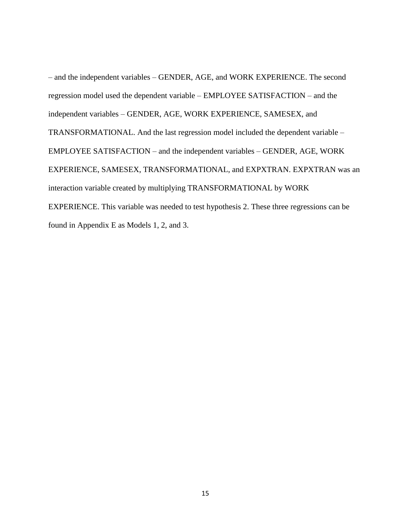– and the independent variables – GENDER, AGE, and WORK EXPERIENCE. The second regression model used the dependent variable – EMPLOYEE SATISFACTION – and the independent variables – GENDER, AGE, WORK EXPERIENCE, SAMESEX, and TRANSFORMATIONAL. And the last regression model included the dependent variable – EMPLOYEE SATISFACTION – and the independent variables – GENDER, AGE, WORK EXPERIENCE, SAMESEX, TRANSFORMATIONAL, and EXPXTRAN. EXPXTRAN was an interaction variable created by multiplying TRANSFORMATIONAL by WORK EXPERIENCE. This variable was needed to test hypothesis 2. These three regressions can be found in Appendix E as Models 1, 2, and 3.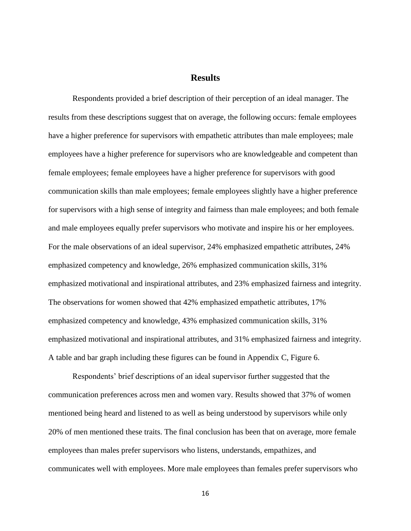## **Results**

<span id="page-22-0"></span>Respondents provided a brief description of their perception of an ideal manager. The results from these descriptions suggest that on average, the following occurs: female employees have a higher preference for supervisors with empathetic attributes than male employees; male employees have a higher preference for supervisors who are knowledgeable and competent than female employees; female employees have a higher preference for supervisors with good communication skills than male employees; female employees slightly have a higher preference for supervisors with a high sense of integrity and fairness than male employees; and both female and male employees equally prefer supervisors who motivate and inspire his or her employees. For the male observations of an ideal supervisor, 24% emphasized empathetic attributes, 24% emphasized competency and knowledge, 26% emphasized communication skills, 31% emphasized motivational and inspirational attributes, and 23% emphasized fairness and integrity. The observations for women showed that 42% emphasized empathetic attributes, 17% emphasized competency and knowledge, 43% emphasized communication skills, 31% emphasized motivational and inspirational attributes, and 31% emphasized fairness and integrity. A table and bar graph including these figures can be found in Appendix C, Figure 6.

Respondents' brief descriptions of an ideal supervisor further suggested that the communication preferences across men and women vary. Results showed that 37% of women mentioned being heard and listened to as well as being understood by supervisors while only 20% of men mentioned these traits. The final conclusion has been that on average, more female employees than males prefer supervisors who listens, understands, empathizes, and communicates well with employees. More male employees than females prefer supervisors who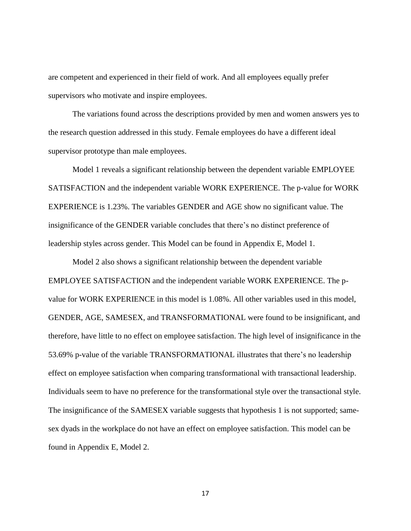are competent and experienced in their field of work. And all employees equally prefer supervisors who motivate and inspire employees.

The variations found across the descriptions provided by men and women answers yes to the research question addressed in this study. Female employees do have a different ideal supervisor prototype than male employees.

Model 1 reveals a significant relationship between the dependent variable EMPLOYEE SATISFACTION and the independent variable WORK EXPERIENCE. The p-value for WORK EXPERIENCE is 1.23%. The variables GENDER and AGE show no significant value. The insignificance of the GENDER variable concludes that there's no distinct preference of leadership styles across gender. This Model can be found in Appendix E, Model 1.

Model 2 also shows a significant relationship between the dependent variable EMPLOYEE SATISFACTION and the independent variable WORK EXPERIENCE. The pvalue for WORK EXPERIENCE in this model is 1.08%. All other variables used in this model, GENDER, AGE, SAMESEX, and TRANSFORMATIONAL were found to be insignificant, and therefore, have little to no effect on employee satisfaction. The high level of insignificance in the 53.69% p-value of the variable TRANSFORMATIONAL illustrates that there's no leadership effect on employee satisfaction when comparing transformational with transactional leadership. Individuals seem to have no preference for the transformational style over the transactional style. The insignificance of the SAMESEX variable suggests that hypothesis 1 is not supported; samesex dyads in the workplace do not have an effect on employee satisfaction. This model can be found in Appendix E, Model 2.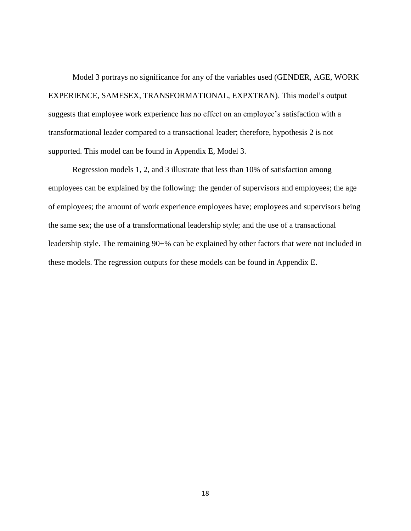Model 3 portrays no significance for any of the variables used (GENDER, AGE, WORK EXPERIENCE, SAMESEX, TRANSFORMATIONAL, EXPXTRAN). This model's output suggests that employee work experience has no effect on an employee's satisfaction with a transformational leader compared to a transactional leader; therefore, hypothesis 2 is not supported. This model can be found in Appendix E, Model 3.

Regression models 1, 2, and 3 illustrate that less than 10% of satisfaction among employees can be explained by the following: the gender of supervisors and employees; the age of employees; the amount of work experience employees have; employees and supervisors being the same sex; the use of a transformational leadership style; and the use of a transactional leadership style. The remaining 90+% can be explained by other factors that were not included in these models. The regression outputs for these models can be found in Appendix E.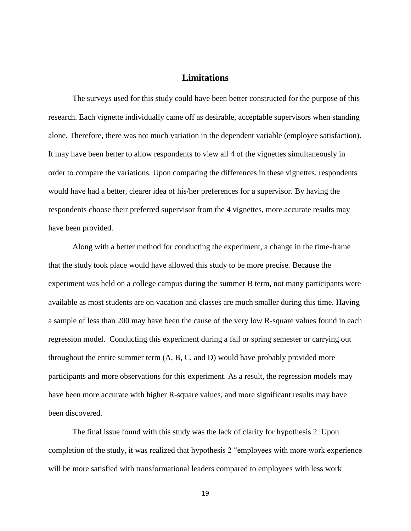## **Limitations**

<span id="page-25-0"></span>The surveys used for this study could have been better constructed for the purpose of this research. Each vignette individually came off as desirable, acceptable supervisors when standing alone. Therefore, there was not much variation in the dependent variable (employee satisfaction). It may have been better to allow respondents to view all 4 of the vignettes simultaneously in order to compare the variations. Upon comparing the differences in these vignettes, respondents would have had a better, clearer idea of his/her preferences for a supervisor. By having the respondents choose their preferred supervisor from the 4 vignettes, more accurate results may have been provided.

Along with a better method for conducting the experiment, a change in the time-frame that the study took place would have allowed this study to be more precise. Because the experiment was held on a college campus during the summer B term, not many participants were available as most students are on vacation and classes are much smaller during this time. Having a sample of less than 200 may have been the cause of the very low R-square values found in each regression model. Conducting this experiment during a fall or spring semester or carrying out throughout the entire summer term (A, B, C, and D) would have probably provided more participants and more observations for this experiment. As a result, the regression models may have been more accurate with higher R-square values, and more significant results may have been discovered.

The final issue found with this study was the lack of clarity for hypothesis 2. Upon completion of the study, it was realized that hypothesis 2 "employees with more work experience will be more satisfied with transformational leaders compared to employees with less work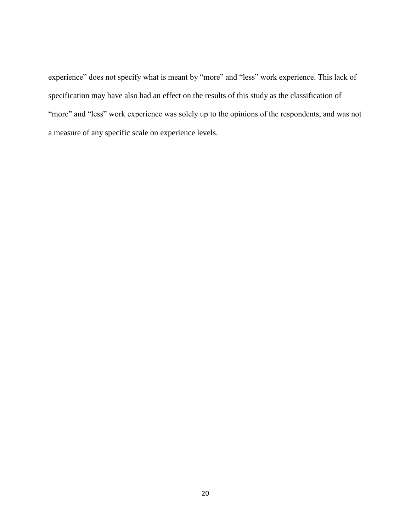experience" does not specify what is meant by "more" and "less" work experience. This lack of specification may have also had an effect on the results of this study as the classification of "more" and "less" work experience was solely up to the opinions of the respondents, and was not a measure of any specific scale on experience levels.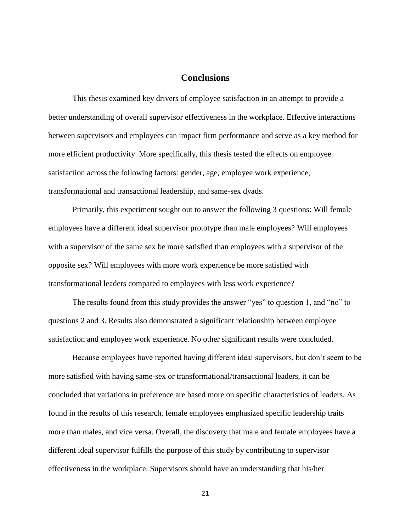## **Conclusions**

<span id="page-27-0"></span>This thesis examined key drivers of employee satisfaction in an attempt to provide a better understanding of overall supervisor effectiveness in the workplace. Effective interactions between supervisors and employees can impact firm performance and serve as a key method for more efficient productivity. More specifically, this thesis tested the effects on employee satisfaction across the following factors: gender, age, employee work experience, transformational and transactional leadership, and same-sex dyads.

Primarily, this experiment sought out to answer the following 3 questions: Will female employees have a different ideal supervisor prototype than male employees? Will employees with a supervisor of the same sex be more satisfied than employees with a supervisor of the opposite sex? Will employees with more work experience be more satisfied with transformational leaders compared to employees with less work experience?

The results found from this study provides the answer "yes" to question 1, and "no" to questions 2 and 3. Results also demonstrated a significant relationship between employee satisfaction and employee work experience. No other significant results were concluded.

Because employees have reported having different ideal supervisors, but don't seem to be more satisfied with having same-sex or transformational/transactional leaders, it can be concluded that variations in preference are based more on specific characteristics of leaders. As found in the results of this research, female employees emphasized specific leadership traits more than males, and vice versa. Overall, the discovery that male and female employees have a different ideal supervisor fulfills the purpose of this study by contributing to supervisor effectiveness in the workplace. Supervisors should have an understanding that his/her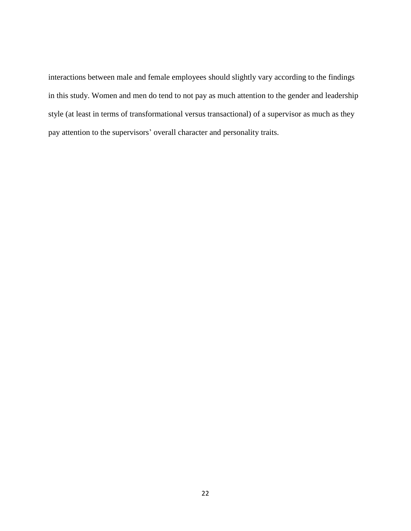interactions between male and female employees should slightly vary according to the findings in this study. Women and men do tend to not pay as much attention to the gender and leadership style (at least in terms of transformational versus transactional) of a supervisor as much as they pay attention to the supervisors' overall character and personality traits.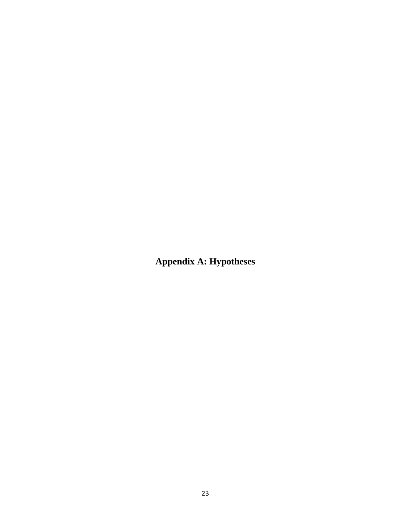<span id="page-29-0"></span>**Appendix A: Hypotheses**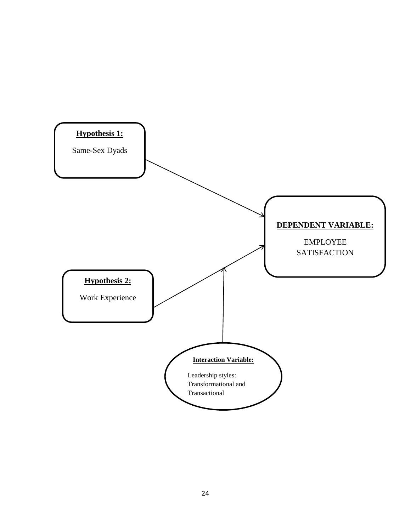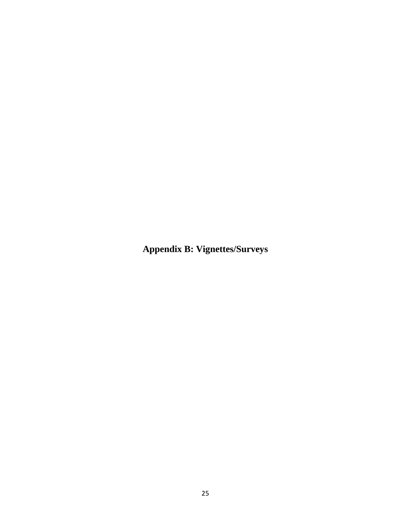<span id="page-31-0"></span>**Appendix B: Vignettes/Surveys**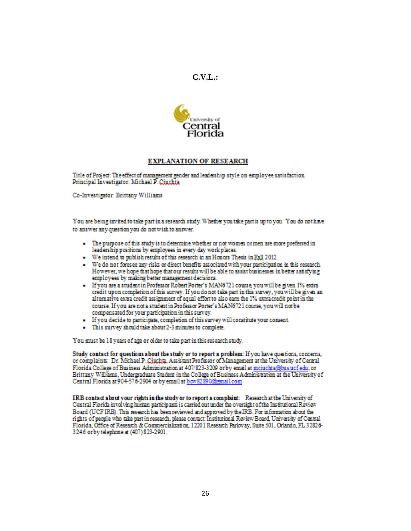



#### **EXPLANATION OF RESEARCH**

<span id="page-32-0"></span>Title of Project: The effect of management gender and leadership style on employee satisfaction Principal Investigator: Michael P. Cinchta

Co-Investigator: Brittany Williams

You are being invited to take part in a research study. Whether you take part is up to you. You do not have to answer any question you do not wish to answer.

- The purpose of this study is to determine whether or not women or men are more preferred in leadership positions by employees in every day work places.
- We intend to publish results of this research in an Honors Thesis in Eall 2012.
- . We do not foresee any risks or direct benefits associated with your participation in this research. However, we hope that hope that our results will be able to assist businesses in better satisfying employees by making better management decisions.
- · If you are a student in Professor Robert Porter's MAN6721 course you will be given 1% extra credit upon completion of this survey. If you do not take part in this survey, you will be given an alternative extra credit assignment of equal effort to also earn the 1% extra credit point in the course. If you are not a student in Professor Porter's MAN6721 course, you will not be compensated for your participation in this survey.
- If you decide to participate, completion of this survey will constitute your consent
- This survey should take about 2-3 minutes to complete.

You must be 18 years of age or older to take part in this research study.

Study contact for questions about the study or to report a problem: If you have questions, concerns, or complaints: Dr. Michael P. Ciuchta, Assistant Professor of Management at the University of Central Florida College of Business Administration at 407/823-3209 or by email at moiuchta@bus.ucf.edu; or Brittany Williams, Undergraduate Student in the College of Business Administration at the University of Central Florida at 904-576-2904 or by email at bow 82890@gmail.com

IRB contact about your rights in the study or to report a complaint: Research at the University of Central Florida involving human participants is carried out under the oversight of the Institutional Review Board (UCF IRB). This research has been reviewed and approved by the IRB. For information about the rights of people who take part in research, please contact Institutional Review Board, University of Central Florida, Office of Research & Commercialization, 12201 Research Parkway, Suite 501, Orlando, FL 32826-3246 or by telephone at (407) 823-2901.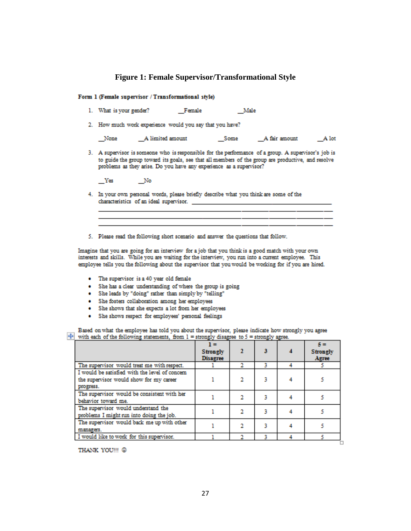#### **Figure 1: Female Supervisor/Transformational Style**

#### <span id="page-33-0"></span>Form 1 (Female supervisor / Transformational style)

|  | 1. What is your gender? | Female | Male |
|--|-------------------------|--------|------|
|  |                         |        |      |

2. How much work experience would you say that you have?

| None | A limited amount | Some | A fair amount | A lot |
|------|------------------|------|---------------|-------|
|      |                  |      |               |       |

3. A supervisor is someone who is responsible for the performance of a group. A supervisor's job is to guide the group toward its goals, see that all members of the group are productive, and resolve problems as they arise. Do you have any experience as a supervisor?

 $_{\rm x}$  Yes  $N<sub>o</sub>$ 

4. In your own personal words, please briefly describe what you think are some of the characteristics of an ideal supervisor.

5. Please read the following short scenario and answer the questions that follow.

Imagine that you are going for an interview for a job that you think is a good match with your own interests and skills. While you are waiting for the interview, you run into a current employee. This employee tells you the following about the supervisor that you would be working for if you are hired.

- The supervisor is a 40 year old female
- · She has a clear understanding of where the group is going
- . She leads by "doing" rather than simply by "telling"
- · She fosters collaboration among her employees
- . She shows that she expects a lot from her employees
- · She shows respect for employees' personal feelings

Based on what the employee has told you about the supervisor, please indicate how strongly you agree  $+$  with each of the following statements, from 1 = strongly disagree to 5 = strongly agree.

|                                                                                                        | 1 =<br><b>Strongly</b><br><b>Disagree</b> |  | $\kappa =$<br><b>Strongly</b><br>Agree |
|--------------------------------------------------------------------------------------------------------|-------------------------------------------|--|----------------------------------------|
| The supervisor would treat me with respect.                                                            |                                           |  |                                        |
| I would be satisfied with the level of concern<br>the supervisor would show for my career<br>progress. |                                           |  |                                        |
| The supervisor would be consistent with her<br>behavior toward me.                                     |                                           |  |                                        |
| The supervisor would understand the<br>problems I might run into doing the job.                        |                                           |  |                                        |
| The supervisor would back me up with other<br>manazers.                                                |                                           |  |                                        |
| I would like to work for this supervisor.                                                              |                                           |  |                                        |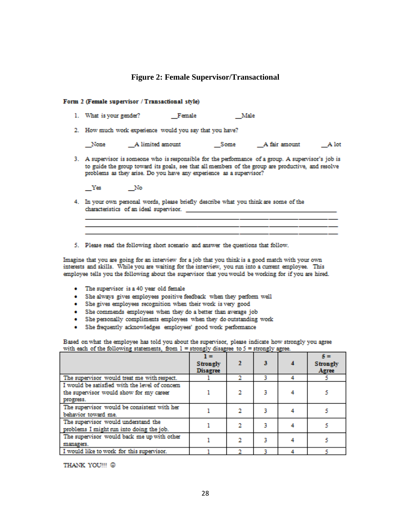#### **Figure 2: Female Supervisor/Transactional**

#### <span id="page-34-0"></span>Form 2 (Female supervisor / Transactional style)

- 1. What is your gender? Female Male
- 2. How much work experience would you say that you have?

| None<br>A limited amount<br>A fair amount<br>Some |  | A lot- |
|---------------------------------------------------|--|--------|
|---------------------------------------------------|--|--------|

<u> 1989 - Andrea San Andrea San Aonaichte ann an Comhair ann an Comhair ann an Comhair an Comhair ann an C</u>

<u> 1989 - John Harry Harry Harry Harry Harry Harry Harry Harry Harry Harry Harry Harry Harry Harry Harry Harry H</u>

3. A supervisor is someone who is responsible for the performance of a group. A supervisor's job is to guide the group toward its goals, see that all members of the group are productive, and resolve problems as they arise. Do you have any experience as a supervisor?

 $Y$ es  $N$ o

- 4. In your own personal words, please briefly describe what you think are some of the
- 5. Please read the following short scenario and answer the questions that follow.

Imagine that you are going for an interview for a job that you think is a good match with your own interests and skills. While you are waiting for the interview, you run into a current employee. This employee tells you the following about the supervisor that you would be working for if you are hired.

- The supervisor is a 40 year old female
- . She always gives employees positive feedback when they perform well
- . She gives employees recognition when their work is very good
- . She commends employees when they do a better than average job
- . She personally compliments employees when they do outstanding work
- · She frequently acknowledges employees' good work performance

Based on what the employee has told you about the supervisor, please indicate how strongly you agree with each of the following statements, from  $1 =$  strongly disagree to  $5 =$  strongly agree.

|                                                                                                        | <b>Strongly</b><br><b>Disagree</b> |  | <b>Strongly</b><br>Agree |
|--------------------------------------------------------------------------------------------------------|------------------------------------|--|--------------------------|
| The supervisor would treat me with respect.                                                            |                                    |  |                          |
| I would be satisfied with the level of concern<br>the supervisor would show for my career<br>progress. |                                    |  |                          |
| The supervisor would be consistent with her<br>behavior toward me.                                     |                                    |  |                          |
| The supervisor would understand the<br>problems I might run into doing the job.                        |                                    |  |                          |
| The supervisor would back me up with other<br>managers.                                                |                                    |  |                          |
| I would like to work for this supervisor.                                                              |                                    |  |                          |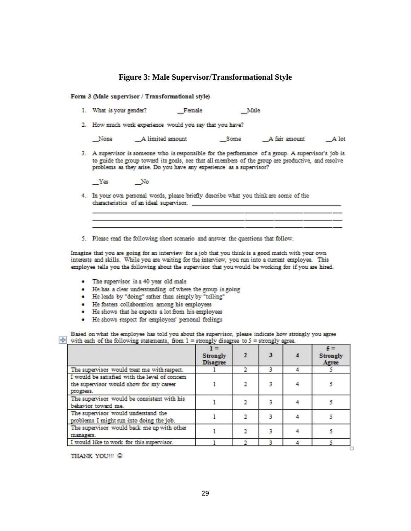#### **Figure 3: Male Supervisor/Transformational Style**

#### <span id="page-35-0"></span>Form 3 (Male supervisor / Transformational style)

- 1. What is your gender? Female Male
- 2. How much work experience would you say that you have?

| None | A limited amount | Some | A fair amount | A lot |
|------|------------------|------|---------------|-------|
|------|------------------|------|---------------|-------|

3. A supervisor is someone who is responsible for the performance of a group. A supervisor's job is to guide the group toward its goals, see that all members of the group are productive, and resolve problems as they arise. Do you have any experience as a supervisor?

Yes No

- 4. In your own personal words, please briefly describe what you think are some of the characteristics of an ideal supervisor. \_\_\_
- 5. Please read the following short scenario and answer the questions that follow.

Imagine that you are going for an interview for a job that you think is a good match with your own interests and skills. While you are waiting for the interview, you run into a current employee. This employee tells you the following about the supervisor that you would be working for if you are hired.

- The supervisor is a 40 year old male
- · He has a clear understanding of where the group is going
- . He leads by "doing" rather than simply by "telling"
- · He fosters collaboration among his employees
- He shows that he expects a lot from his employees
- · He shows respect for employees' personal feelings

Based on what the employee has told you about the supervisor, please indicate how strongly you agree  $+$  with each of the following statements, from 1 = strongly disagree to 5 = strongly agree.

|                                                                                                        | $1 =$<br><b>Strongly</b><br><b>Disagree</b> |  | $\kappa =$<br><b>Strongly</b><br>Agree |
|--------------------------------------------------------------------------------------------------------|---------------------------------------------|--|----------------------------------------|
| The supervisor would treat me with respect.                                                            |                                             |  |                                        |
| I would be satisfied with the level of concern<br>the supervisor would show for my career<br>progress. |                                             |  |                                        |
| The supervisor would be consistent with his<br>behavior toward me.                                     |                                             |  |                                        |
| The supervisor would understand the<br>problems I might run into doing the job.                        |                                             |  |                                        |
| The supervisor would back me up with other<br>manazers.                                                |                                             |  |                                        |
| I would like to work for this supervisor.                                                              |                                             |  |                                        |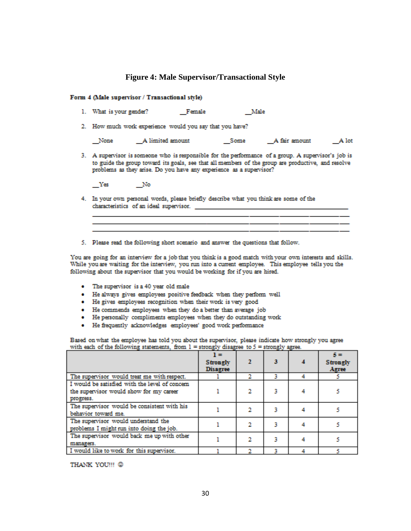#### **Figure 4: Male Supervisor/Transactional Style**

#### <span id="page-36-0"></span>Form 4 (Male supervisor / Transactional style)

- 1. What is your gender? Female Male
- 2. How much work experience would you say that you have?

| None | A limited amount | Some | A fair amount | A lot |
|------|------------------|------|---------------|-------|
|------|------------------|------|---------------|-------|

3. A supervisor is someone who is responsible for the performance of a group. A supervisor's job is to guide the group toward its goals, see that all members of the group are productive, and resolve problems as they arise. Do you have any experience as a supervisor?

 $N<sub>o</sub>$  $_{\rm}$  Yes

- 4. In your own personal words, please briefly describe what you think are some of the characteristics of an ideal supervisor.
- 5. Please read the following short scenario and answer the questions that follow.

You are going for an interview for a job that you think is a good match with your own interests and skills. While you are waiting for the interview, you run into a current employee. This employee tells you the following about the supervisor that you would be working for if you are hired.

- The supervisor is a 40 year old male
- . He always gives employees positive feedback when they perform well
- He gives employees recognition when their work is very good
- · He commends employees when they do a better than average job
- He personally compliments employees when they do outstanding work
- · He frequently acknowledges employees' good work performance

Based on what the employee has told you about the supervisor, please indicate how strongly you agree with each of the following statements, from  $1 =$  strongly disagree to  $5 =$  strongly agree.

|                                                                                                        | $1 =$<br><b>Strongly</b><br><b>Disagree</b> |  | $5 =$<br><b>Strongly</b><br>Agree |
|--------------------------------------------------------------------------------------------------------|---------------------------------------------|--|-----------------------------------|
| The supervisor would treat me with respect.                                                            |                                             |  |                                   |
| I would be satisfied with the level of concern<br>the supervisor would show for my career<br>progress. |                                             |  |                                   |
| The supervisor would be consistent with his<br>behavior toward me.                                     |                                             |  |                                   |
| The supervisor would understand the<br>problems I might run into doing the job.                        |                                             |  |                                   |
| The supervisor would back me up with other<br>manazers.                                                |                                             |  |                                   |
| I would like to work for this supervisor.                                                              |                                             |  |                                   |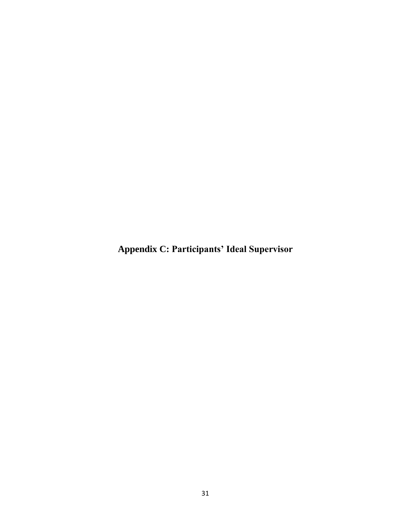<span id="page-37-0"></span>**Appendix C: Participants' Ideal Supervisor**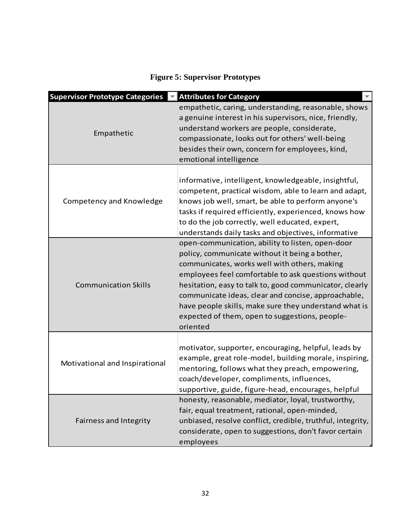# **Figure 5: Supervisor Prototypes**

<span id="page-38-0"></span>

| <b>Supervisor Prototype Categories</b> | <b>Attributes for Category</b>                                                                                                                                                                                                                                                                                                                                                                                                                     |
|----------------------------------------|----------------------------------------------------------------------------------------------------------------------------------------------------------------------------------------------------------------------------------------------------------------------------------------------------------------------------------------------------------------------------------------------------------------------------------------------------|
| Empathetic                             | empathetic, caring, understanding, reasonable, shows<br>a genuine interest in his supervisors, nice, friendly,<br>understand workers are people, considerate,<br>compassionate, looks out for others' well-being<br>besides their own, concern for employees, kind,<br>emotional intelligence                                                                                                                                                      |
| Competency and Knowledge               | informative, intelligent, knowledgeable, insightful,<br>competent, practical wisdom, able to learn and adapt,<br>knows job well, smart, be able to perform anyone's<br>tasks if required efficiently, experienced, knows how<br>to do the job correctly, well educated, expert,<br>understands daily tasks and objectives, informative                                                                                                             |
| <b>Communication Skills</b>            | open-communication, ability to listen, open-door<br>policy, communicate without it being a bother,<br>communicates, works well with others, making<br>employees feel comfortable to ask questions without<br>hesitation, easy to talk to, good communicator, clearly<br>communicate ideas, clear and concise, approachable,<br>have people skills, make sure they understand what is<br>expected of them, open to suggestions, people-<br>oriented |
| Motivational and Inspirational         | motivator, supporter, encouraging, helpful, leads by<br>example, great role-model, building morale, inspiring,<br>mentoring, follows what they preach, empowering,<br>coach/developer, compliments, influences,<br>supportive, guide, figure-head, encourages, helpful                                                                                                                                                                             |
| Fairness and Integrity                 | honesty, reasonable, mediator, loyal, trustworthy,<br>fair, equal treatment, rational, open-minded,<br>unbiased, resolve conflict, credible, truthful, integrity,<br>considerate, open to suggestions, don't favor certain<br>employees                                                                                                                                                                                                            |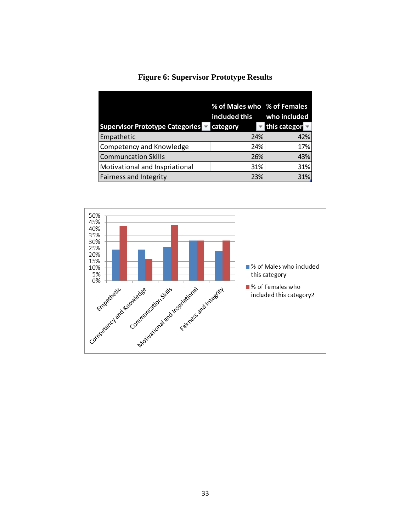<span id="page-39-0"></span>

|                                        | % of Males who % of Females |              |
|----------------------------------------|-----------------------------|--------------|
|                                        | included this               | who included |
| <b>Supervisor Prototype Categories</b> | category                    | this categor |
| Empathetic                             | 24%                         | 42%          |
| Competency and Knowledge               | 24%                         | 17%          |
| <b>Communcation Skills</b>             | 26%                         | 43%          |
| Motivational and Inspriational         | 31%                         | 31%          |
| <b>Fairness and Integrity</b>          | 23%                         | 31%          |

## **Figure 6: Supervisor Prototype Results**

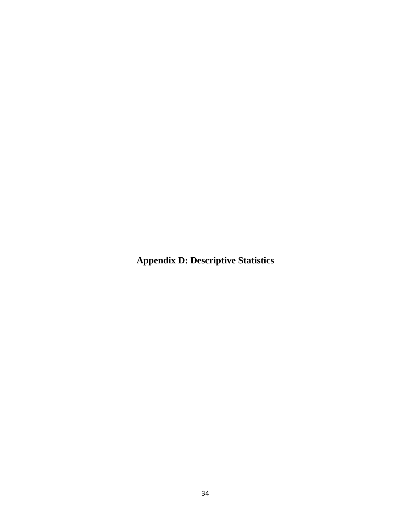<span id="page-40-0"></span>**Appendix D: Descriptive Statistics**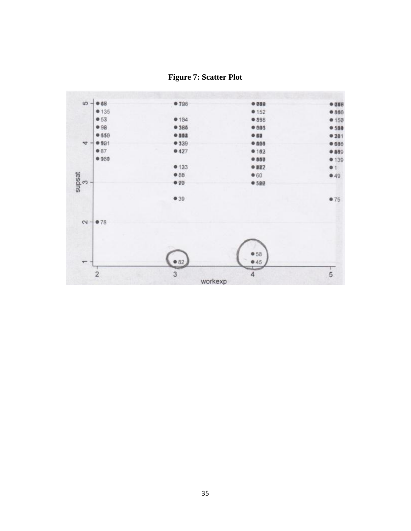

<span id="page-41-0"></span>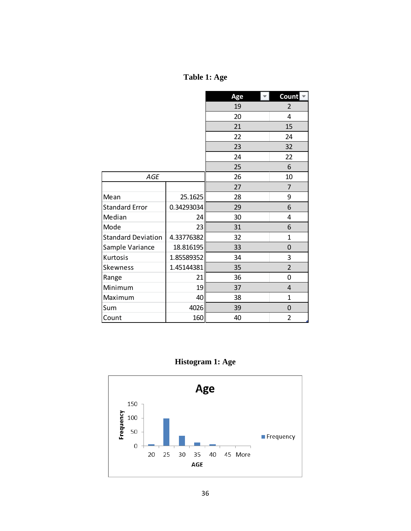# **Table 1: Age**

<span id="page-42-0"></span>

|                           |            | Age<br>$\mathbf{v}$ . | Count <b>E</b> |
|---------------------------|------------|-----------------------|----------------|
|                           |            | 19                    | $\overline{2}$ |
|                           |            | 20                    | 4              |
|                           |            | 21                    | 15             |
|                           |            | 22                    | 24             |
|                           |            | 23                    | 32             |
|                           |            | 24                    | 22             |
|                           |            | 25                    | 6              |
| <b>AGE</b>                |            | 26                    | 10             |
|                           |            | 27                    | $\overline{7}$ |
| Mean                      | 25.1625    | 28                    | 9              |
| <b>Standard Error</b>     | 0.34293034 | 29                    | 6              |
| Median                    | 24         | 30                    | 4              |
| Mode                      | 23         | 31                    | 6              |
| <b>Standard Deviation</b> | 4.33776382 | 32                    | 1              |
| Sample Variance           | 18.816195  | 33                    | 0              |
| Kurtosis                  | 1.85589352 | 34                    | 3              |
| Skewness                  | 1.45144381 | 35                    | $\overline{2}$ |
| Range                     | 21         | 36                    | 0              |
| Minimum                   | 19         | 37                    | 4              |
| Maximum                   | 40         | 38                    | 1              |
| Sum                       | 4026       | 39                    | $\overline{0}$ |
| Count                     | 160        | 40                    | $\overline{2}$ |



<span id="page-42-1"></span>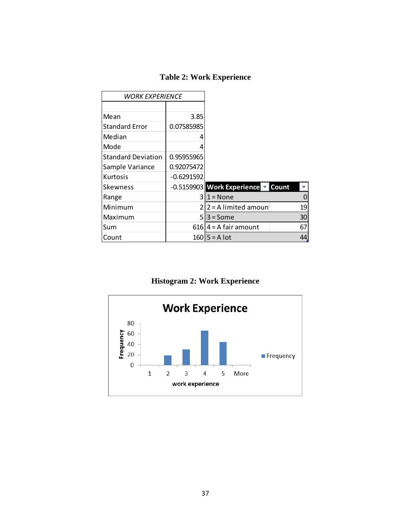<span id="page-43-0"></span>

| WORK EXPERIENCE           |               |                            |       |
|---------------------------|---------------|----------------------------|-------|
|                           |               |                            |       |
| Mean                      | 3.85          |                            |       |
| <b>Standard Error</b>     | 0.07585985    |                            |       |
| Median                    | 4             |                            |       |
| Mode                      | 4             |                            |       |
| <b>Standard Deviation</b> | 0.95955965    |                            |       |
| Sample Variance           | 0.92075472    |                            |       |
| Kurtosis                  | $-0.6291592$  |                            |       |
| Skewness                  |               | -0.5159903 Work Experience | Count |
| Range                     | 3             | $1 = None$                 | 0     |
| Minimum                   | $\mathfrak z$ | $2 = A$ limited amoun      | 19    |
| Maximum                   | 5             | $3 = Some$                 | 30    |
| Sum                       |               | $616$   4 = A fair amount  | 67    |
| Count                     |               | $160$   5 = A lot          | 44.   |

**Histogram 2: Work Experience**

<span id="page-43-1"></span>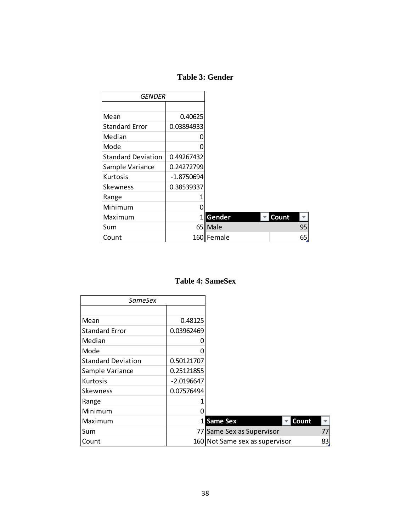## **Table 3: Gender**

<span id="page-44-0"></span>

| GENDER                    |              |            |       |    |
|---------------------------|--------------|------------|-------|----|
|                           |              |            |       |    |
| Mean                      | 0.40625      |            |       |    |
| <b>Standard Error</b>     | 0.03894933   |            |       |    |
| Median                    |              |            |       |    |
| Mode                      |              |            |       |    |
| <b>Standard Deviation</b> | 0.49267432   |            |       |    |
| Sample Variance           | 0.24272799   |            |       |    |
| Kurtosis                  | $-1.8750694$ |            |       |    |
| <b>Skewness</b>           | 0.38539337   |            |       |    |
| Range                     |              |            |       |    |
| Minimum                   |              |            |       |    |
| Maximum                   | 1            | Gender     | Count |    |
| Sum                       |              | 65 Male    |       | 95 |
| Count                     |              | 160 Female |       | 65 |

## **Table 4: SameSex**

<span id="page-44-1"></span>

| SameSex                   |               |                                |     |
|---------------------------|---------------|--------------------------------|-----|
|                           |               |                                |     |
| Mean                      | 0.48125       |                                |     |
| <b>Standard Error</b>     | 0.03962469    |                                |     |
| Median                    |               |                                |     |
| Mode                      |               |                                |     |
| <b>Standard Deviation</b> | 0.50121707    |                                |     |
| Sample Variance           | 0.25121855    |                                |     |
| Kurtosis                  | $-2.0196647$  |                                |     |
| lSkewness                 | 0.07576494    |                                |     |
| Range                     |               |                                |     |
| Minimum                   |               |                                |     |
| Maximum                   | $1\mathsf{I}$ | Count<br><b>Same Sex</b>       |     |
| Sum                       | 77 I          | Same Sex as Supervisor         | 77I |
| Count                     |               | 160 Not Same sex as supervisor | 83  |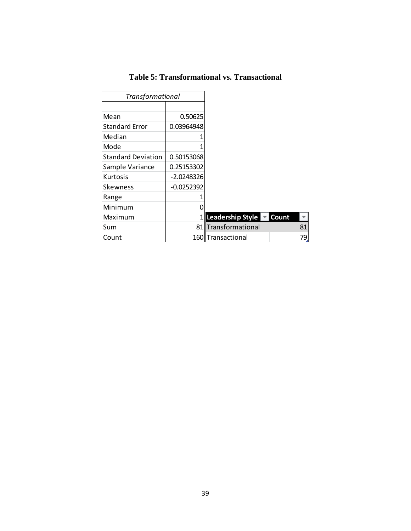| <b>Table 5: Transformational vs. Transactional</b> |  |
|----------------------------------------------------|--|
|----------------------------------------------------|--|

<span id="page-45-0"></span>

| <b>Transformational</b>   |              |                         |       |
|---------------------------|--------------|-------------------------|-------|
|                           |              |                         |       |
| Mean                      | 0.50625      |                         |       |
| <b>Standard Error</b>     | 0.03964948   |                         |       |
| Median                    |              |                         |       |
| Mode                      |              |                         |       |
| <b>Standard Deviation</b> | 0.50153068   |                         |       |
| Sample Variance           | 0.25153302   |                         |       |
| Kurtosis                  | $-2.0248326$ |                         |       |
| <b>Skewness</b>           | $-0.0252392$ |                         |       |
| Range                     |              |                         |       |
| Minimum                   |              |                         |       |
| Maximum                   | 11           | <b>Leadership Style</b> | Count |
| Sum                       |              | 81 Transformational     | 81    |
| Count                     | 160I         | <b>Transactional</b>    | 79    |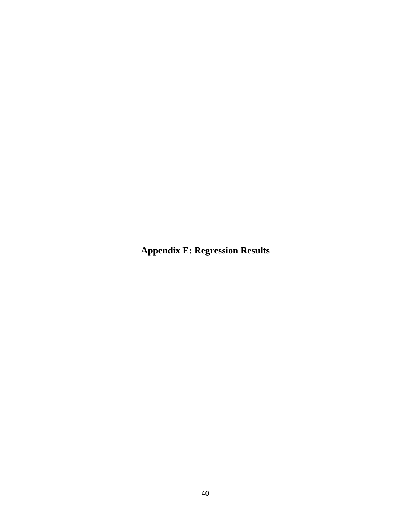<span id="page-46-0"></span>**Appendix E: Regression Results**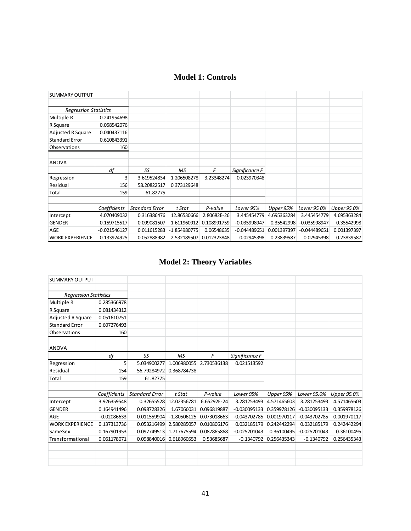<span id="page-47-0"></span>

| SUMMARY OUTPUT               |                |                       |                |             |                |             |                |             |
|------------------------------|----------------|-----------------------|----------------|-------------|----------------|-------------|----------------|-------------|
|                              |                |                       |                |             |                |             |                |             |
| <b>Regression Statistics</b> |                |                       |                |             |                |             |                |             |
| Multiple R                   | 0.241954698    |                       |                |             |                |             |                |             |
| R Square                     | 0.058542076    |                       |                |             |                |             |                |             |
| <b>Adjusted R Square</b>     | 0.040437116    |                       |                |             |                |             |                |             |
| <b>Standard Error</b>        | 0.610843391    |                       |                |             |                |             |                |             |
| Observations                 | 160            |                       |                |             |                |             |                |             |
|                              |                |                       |                |             |                |             |                |             |
| <b>ANOVA</b>                 |                |                       |                |             |                |             |                |             |
|                              |                |                       |                |             |                |             |                |             |
|                              | df             | SS                    | МS             | F           | Significance F |             |                |             |
| Regression                   | $\overline{3}$ | 3.619524834           | 1.206508278    | 3.23348274  | 0.023970348    |             |                |             |
| Residual                     | 156            | 58.20822517           | 0.373129648    |             |                |             |                |             |
| Total                        | 159            | 61.82775              |                |             |                |             |                |             |
|                              |                |                       |                |             |                |             |                |             |
|                              | Coefficients   | <b>Standard Error</b> | t Stat         | P-value     | Lower 95%      | Upper 95%   | Lower 95.0%    | Upper 95.0% |
| Intercept                    | 4.070409032    | 0.316386476           | 12.86530666    | 2.80682E-26 | 3.445454779    | 4.695363284 | 3.445454779    | 4.695363284 |
| <b>GENDER</b>                | 0.159715517    | 0.099081507           | 1.611960912    | 0.108991759 | $-0.035998947$ | 0.35542998  | $-0.035998947$ | 0.35542998  |
| AGE                          | $-0.021546127$ | 0.011615283           | $-1.854980775$ | 0.06548635  | $-0.044489651$ | 0.001397397 | $-0.044489651$ | 0.001397397 |

# **Model 2: Theory Variables**

<span id="page-47-1"></span>

| <b>SUMMARY OUTPUT</b>        |               |                       |               |             |                |             |                |             |
|------------------------------|---------------|-----------------------|---------------|-------------|----------------|-------------|----------------|-------------|
|                              |               |                       |               |             |                |             |                |             |
| <b>Regression Statistics</b> |               |                       |               |             |                |             |                |             |
| Multiple R                   | 0.285366978   |                       |               |             |                |             |                |             |
| R Square                     | 0.081434312   |                       |               |             |                |             |                |             |
| <b>Adjusted R Square</b>     | 0.051610751   |                       |               |             |                |             |                |             |
| <b>Standard Error</b>        | 0.607276493   |                       |               |             |                |             |                |             |
| Observations                 | 160           |                       |               |             |                |             |                |             |
| <b>ANOVA</b>                 |               |                       |               |             |                |             |                |             |
|                              | df            | SS                    | <b>MS</b>     | F           | Significance F |             |                |             |
| Regression                   | 5             | 5.034900277           | 1.006980055   | 2.730536138 | 0.021513592    |             |                |             |
| Residual                     | 154           | 56.79284972           | 0.368784738   |             |                |             |                |             |
| Total                        | 159           | 61.82775              |               |             |                |             |                |             |
|                              |               |                       |               |             |                |             |                |             |
|                              | Coefficients  | <b>Standard Error</b> | t Stat        | P-value     | Lower 95%      | Upper 95%   | Lower 95.0%    | Upper 95.0% |
| Intercept                    | 3.926359548   | 0.32655528            | 12.02356781   | 6.65292E-24 | 3.281253493    | 4.571465603 | 3.281253493    | 4.571465603 |
| <b>GENDER</b>                | 0.164941496   | 0.098728326           | 1.67066031    | 0.096819887 | $-0.030095133$ | 0.359978126 | $-0.030095133$ | 0.359978126 |
| AGE                          | $-0.02086633$ | 0.011559904           | $-1.80506125$ | 0.073018663 | $-0.043702785$ | 0.001970117 | $-0.043702785$ | 0.001970117 |
| <b>WORK EXPERIENCE</b>       | 0.137313736   | 0.053216499           | 2.580285057   | 0.010806176 | 0.032185179    | 0.242442294 | 0.032185179    | 0.242442294 |
| SameSex                      | 0.167901953   | 0.097749513           | 1.717675594   | 0.087865868 | $-0.025201043$ | 0.36100495  | $-0.025201043$ | 0.36100495  |
| Transformational             | 0.061178071   | 0.098840016           | 0.618960553   | 0.53685687  | $-0.1340792$   | 0.256435343 | $-0.1340792$   | 0.256435343 |
|                              |               |                       |               |             |                |             |                |             |
|                              |               |                       |               |             |                |             |                |             |
|                              |               |                       |               |             |                |             |                |             |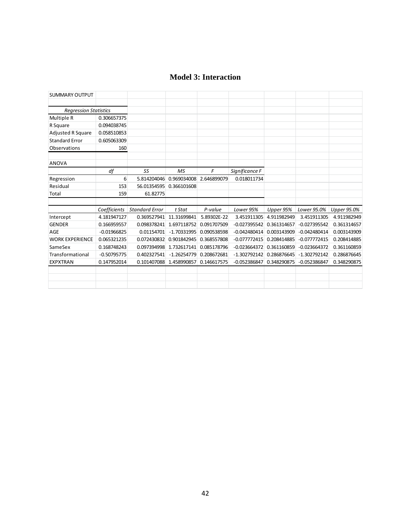## **Model 3: Interaction**

<span id="page-48-0"></span>

| <b>SUMMARY OUTPUT</b>        |               |                       |               |             |                |             |                |             |
|------------------------------|---------------|-----------------------|---------------|-------------|----------------|-------------|----------------|-------------|
|                              |               |                       |               |             |                |             |                |             |
| <b>Regression Statistics</b> |               |                       |               |             |                |             |                |             |
| Multiple R                   | 0.306657375   |                       |               |             |                |             |                |             |
| R Square                     | 0.094038745   |                       |               |             |                |             |                |             |
| <b>Adjusted R Square</b>     | 0.058510853   |                       |               |             |                |             |                |             |
| <b>Standard Error</b>        | 0.605063309   |                       |               |             |                |             |                |             |
| <b>Observations</b>          | 160           |                       |               |             |                |             |                |             |
| <b>ANOVA</b>                 |               |                       |               |             |                |             |                |             |
|                              | df            | SS                    | <b>MS</b>     | F           | Significance F |             |                |             |
| Regression                   | 6             | 5.814204046           | 0.969034008   | 2.646899079 | 0.018011734    |             |                |             |
| Residual                     | 153           | 56.01354595           | 0.366101608   |             |                |             |                |             |
| Total                        | 159           | 61.82775              |               |             |                |             |                |             |
|                              |               |                       |               |             |                |             |                |             |
|                              | Coefficients  | <b>Standard Error</b> | t Stat        | P-value     | Lower 95%      | Upper 95%   | Lower 95.0%    | Upper 95.0% |
| Intercept                    | 4.181947127   | 0.369527941           | 11.31699841   | 5.89302E-22 | 3.451911305    | 4.911982949 | 3.451911305    | 4.911982949 |
| <b>GENDER</b>                | 0.166959557   | 0.098378241           | 1.697118752   | 0.091707509 | $-0.027395542$ | 0.361314657 | $-0.027395542$ | 0.361314657 |
| AGE                          | $-0.01966825$ | 0.01154701            | $-1.70331995$ | 0.090538598 | $-0.042480414$ | 0.003143909 | $-0.042480414$ | 0.003143909 |
| <b>WORK EXPERIENCE</b>       | 0.065321235   | 0.072430832           | 0.901842945   | 0.368557808 | $-0.077772415$ | 0.208414885 | $-0.077772415$ | 0.208414885 |
| SameSex                      | 0.168748243   | 0.097394998           | 1.732617141   | 0.085178796 | $-0.023664372$ | 0.361160859 | $-0.023664372$ | 0.361160859 |
| Transformational             | $-0.50795775$ | 0.402327541           | $-1.26254779$ | 0.208672681 | $-1.302792142$ | 0.286876645 | $-1.302792142$ | 0.286876645 |
| <b>EXPXTRAN</b>              | 0.147952014   | 0.101407088           | 1.458990857   | 0.146617575 | $-0.052386847$ | 0.348290875 | $-0.052386847$ | 0.348290875 |
|                              |               |                       |               |             |                |             |                |             |
|                              |               |                       |               |             |                |             |                |             |
|                              |               |                       |               |             |                |             |                |             |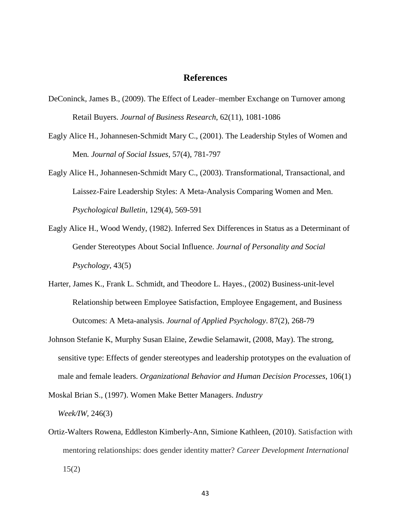#### **References**

- <span id="page-49-0"></span>DeConinck, James B., (2009). The Effect of Leader–member Exchange on Turnover among Retail Buyers. *Journal of Business Research*, 62(11), 1081-1086
- Eagly Alice H., Johannesen-Schmidt Mary C., (2001). The Leadership Styles of Women and Men*. Journal of Social Issues*, 57(4), 781-797
- Eagly Alice H., Johannesen-Schmidt Mary C., (2003). Transformational, Transactional, and Laissez-Faire Leadership Styles: A Meta-Analysis Comparing Women and Men. *Psychological Bulletin*, 129(4), 569-591
- Eagly Alice H., Wood Wendy, (1982). Inferred Sex Differences in Status as a Determinant of Gender Stereotypes About Social Influence. *Journal of Personality and Social Psychology*, 43(5)
- Harter, James K., Frank L. Schmidt, and Theodore L. Hayes., (2002) Business-unit-level Relationship between Employee Satisfaction, Employee Engagement, and Business Outcomes: A Meta-analysis. *Journal of Applied Psychology*. 87(2), 268-79
- Johnson Stefanie K, Murphy Susan Elaine, Zewdie Selamawit, (2008, May). The strong, sensitive type: Effects of gender stereotypes and leadership prototypes on the evaluation of male and female leaders. *Organizational Behavior and Human Decision Processes*, 106(1)
- Moskal Brian S., (1997). Women Make Better Managers. *Industry Week/IW,* 246(3)
- Ortiz-Walters Rowena, Eddleston Kimberly-Ann, Simione Kathleen, (2010). Satisfaction with mentoring relationships: does gender identity matter? *Career Development International*   $15(2)$